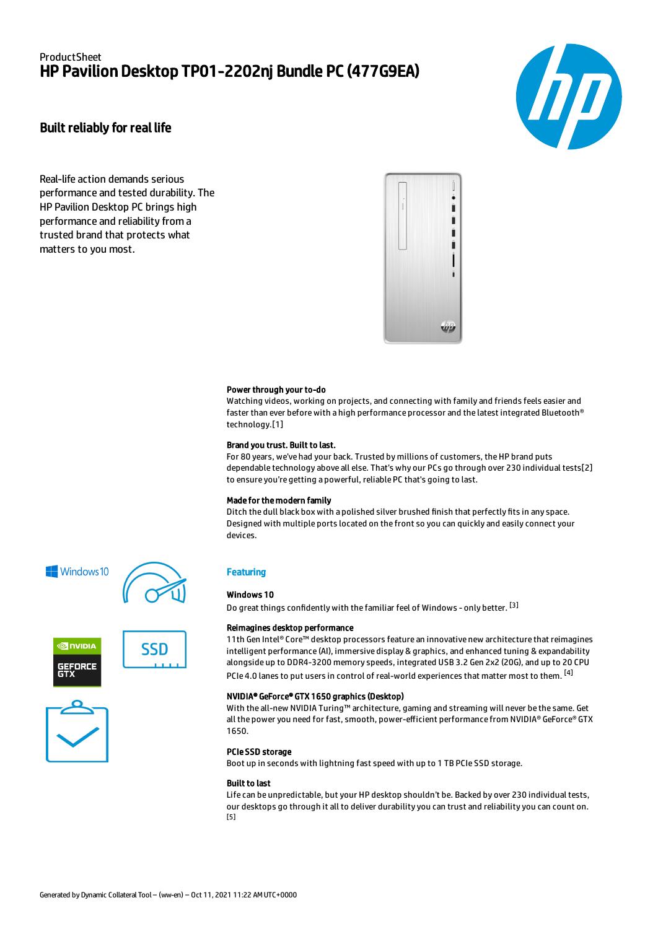# ProductSheet HP Pavilion Desktop TP01-2202nj Bundle PC (477G9EA)



## Built reliably for real life

Real-life action demands serious performance and tested durability. The HP Pavilion Desktop PC brings high performance and reliability from a trusted brand that protects what matters to you most.



#### Power through your to-do

Watching videos, working on projects, and connecting with family and friends feels easier and faster than ever before with a high performance processor and the latest integrated Bluetooth® technology.[1]

#### Brand you trust. Built to last.

For 80 years, we've had your back. Trusted by millions of customers, the HP brand puts dependable technology above all else. That's why our PCs go through over 230 individual tests[2] to ensure you're getting a powerful, reliable PC that's going to last.

#### Made for the modern family

Ditch the dull black box with a polished silver brushed finish that perfectly fits in any space. Designed with multiple ports located on the front so you can quickly and easily connect your devices.

## **Windows10**



**MINUTE EFORCE** 





## **Featuring**

### Windows 10

Do great things confidently with the familiar feel of Windows - only better. <sup>[3]</sup>

#### Reimagines desktop performance

11th Gen Intel® Core™ desktop processors feature an innovative new architecture that reimagines intelligent performance (AI), immersive display & graphics, and enhanced tuning & expandability alongside up to DDR4-3200 memory speeds, integrated USB 3.2 Gen 2x2 (20G), and up to 20 CPU PCIe 4.0 lanes to put users in control of real-world experiences that matter most to them. <sup>[4]</sup>

### NVIDIA® GeForce® GTX 1650 graphics (Desktop)

With the all-new NVIDIA Turing™ architecture, gaming and streaming will never be the same. Get all the power you need for fast, smooth, power-efficient performance from NVIDIA® GeForce® GTX 1650.

#### PCIe SSD storage

Boot up in seconds with lightning fast speed with up to 1 TB PCIe SSD storage.

#### Built to last

Life can be unpredictable, but your HP desktop shouldn't be. Backed by over 230 individual tests, our desktops go through it all to deliver durability you can trust and reliability you can count on. [5]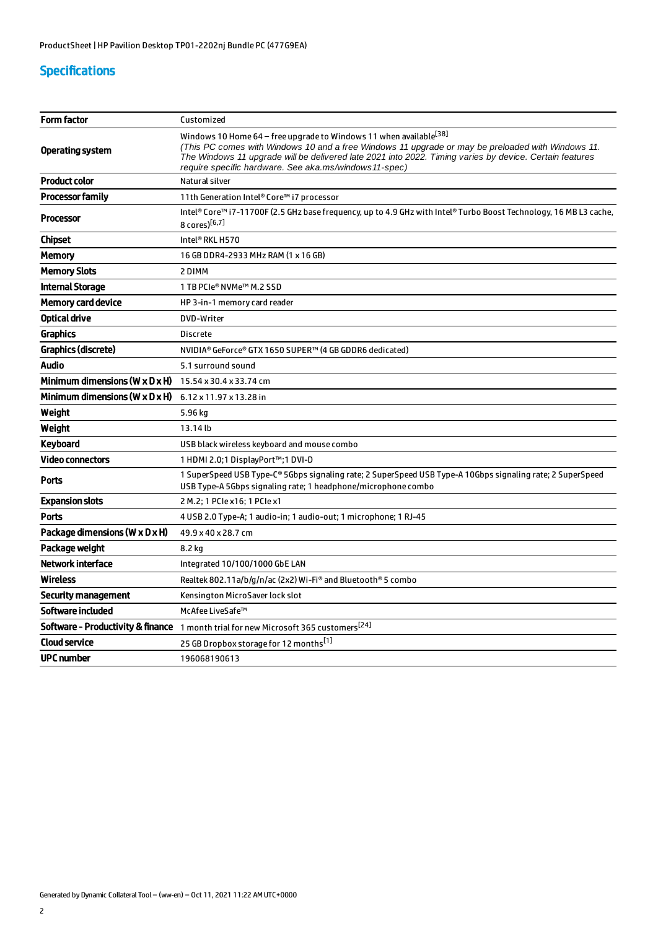# Specifications

| Form factor                                  | Customized                                                                                                                                                                                                                                                                                                                                   |
|----------------------------------------------|----------------------------------------------------------------------------------------------------------------------------------------------------------------------------------------------------------------------------------------------------------------------------------------------------------------------------------------------|
| Operating system                             | Windows 10 Home 64 - free upgrade to Windows 11 when available [38]<br>(This PC comes with Windows 10 and a free Windows 11 upgrade or may be preloaded with Windows 11.<br>The Windows 11 upgrade will be delivered late 2021 into 2022. Timing varies by device. Certain features<br>require specific hardware. See aka.ms/windows11-spec) |
| <b>Product color</b>                         | Natural silver                                                                                                                                                                                                                                                                                                                               |
| <b>Processor family</b>                      | 11th Generation Intel® Core™ i7 processor                                                                                                                                                                                                                                                                                                    |
| <b>Processor</b>                             | Intel® Core™ i7-11700F (2.5 GHz base frequency, up to 4.9 GHz with Intel® Turbo Boost Technology, 16 MB L3 cache,<br>8 cores)[6,7]                                                                                                                                                                                                           |
| <b>Chipset</b>                               | Intel® RKL H570                                                                                                                                                                                                                                                                                                                              |
| Memory                                       | 16 GB DDR4-2933 MHz RAM (1 x 16 GB)                                                                                                                                                                                                                                                                                                          |
| <b>Memory Slots</b>                          | 2 DIMM                                                                                                                                                                                                                                                                                                                                       |
| <b>Internal Storage</b>                      | 1 TB PCIe® NVMe™ M.2 SSD                                                                                                                                                                                                                                                                                                                     |
| <b>Memory card device</b>                    | HP 3-in-1 memory card reader                                                                                                                                                                                                                                                                                                                 |
| <b>Optical drive</b>                         | DVD-Writer                                                                                                                                                                                                                                                                                                                                   |
| <b>Graphics</b>                              | Discrete                                                                                                                                                                                                                                                                                                                                     |
| Graphics (discrete)                          | NVIDIA® GeForce® GTX 1650 SUPER™ (4 GB GDDR6 dedicated)                                                                                                                                                                                                                                                                                      |
| <b>Audio</b>                                 | 5.1 surround sound                                                                                                                                                                                                                                                                                                                           |
| Minimum dimensions ( $W \times D \times H$ ) | 15.54 x 30.4 x 33.74 cm                                                                                                                                                                                                                                                                                                                      |
| Minimum dimensions (W $\times$ D $\times$ H) | 6.12 x 11.97 x 13.28 in                                                                                                                                                                                                                                                                                                                      |
| Weight                                       | 5.96 kg                                                                                                                                                                                                                                                                                                                                      |
| Weight                                       | 13.14 lb                                                                                                                                                                                                                                                                                                                                     |
| Keyboard                                     | USB black wireless keyboard and mouse combo                                                                                                                                                                                                                                                                                                  |
| <b>Video connectors</b>                      | 1 HDMI 2.0;1 DisplayPort™;1 DVI-D                                                                                                                                                                                                                                                                                                            |
| <b>Ports</b>                                 | 1 SuperSpeed USB Type-C® 5Gbps signaling rate; 2 SuperSpeed USB Type-A 10Gbps signaling rate; 2 SuperSpeed<br>USB Type-A 5Gbps signaling rate; 1 headphone/microphone combo                                                                                                                                                                  |
| <b>Expansion slots</b>                       | 2 M.2; 1 PCIe x16; 1 PCIe x1                                                                                                                                                                                                                                                                                                                 |
| <b>Ports</b>                                 | 4 USB 2.0 Type-A; 1 audio-in; 1 audio-out; 1 microphone; 1 RJ-45                                                                                                                                                                                                                                                                             |
| Package dimensions (W x D x H)               | 49.9 x 40 x 28.7 cm                                                                                                                                                                                                                                                                                                                          |
| Package weight                               | 8.2 kg                                                                                                                                                                                                                                                                                                                                       |
| <b>Network interface</b>                     | Integrated 10/100/1000 GbE LAN                                                                                                                                                                                                                                                                                                               |
| Wireless                                     | Realtek 802.11a/b/g/n/ac (2x2) Wi-Fi® and Bluetooth® 5 combo                                                                                                                                                                                                                                                                                 |
| Security management                          | Kensington MicroSaver lock slot                                                                                                                                                                                                                                                                                                              |
| Software included                            | McAfee LiveSafe™                                                                                                                                                                                                                                                                                                                             |
|                                              | Software - Productivity & finance 1 month trial for new Microsoft 365 customers <sup>[24]</sup>                                                                                                                                                                                                                                              |
| <b>Cloud service</b>                         | 25 GB Dropbox storage for 12 months <sup>[1]</sup>                                                                                                                                                                                                                                                                                           |
| <b>UPC number</b>                            | 196068190613                                                                                                                                                                                                                                                                                                                                 |
|                                              |                                                                                                                                                                                                                                                                                                                                              |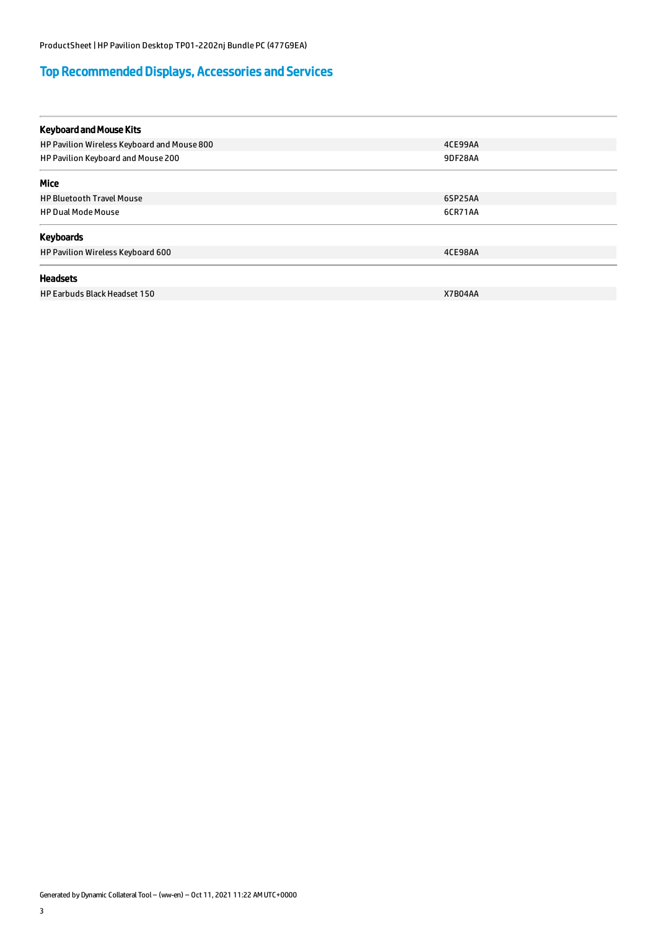# Top Recommended Displays, Accessories and Services

| <b>Keyboard and Mouse Kits</b>              |         |
|---------------------------------------------|---------|
| HP Pavilion Wireless Keyboard and Mouse 800 | 4CE99AA |
| HP Pavilion Keyboard and Mouse 200          | 9DF28AA |
| <b>Mice</b>                                 |         |
| <b>HP Bluetooth Travel Mouse</b>            | 6SP25AA |
| <b>HP Dual Mode Mouse</b>                   | 6CR71AA |
| Keyboards                                   |         |
| HP Pavilion Wireless Keyboard 600           | 4CE98AA |
| <b>Headsets</b>                             |         |
| <b>HP Earbuds Black Headset 150</b>         | X7B04AA |